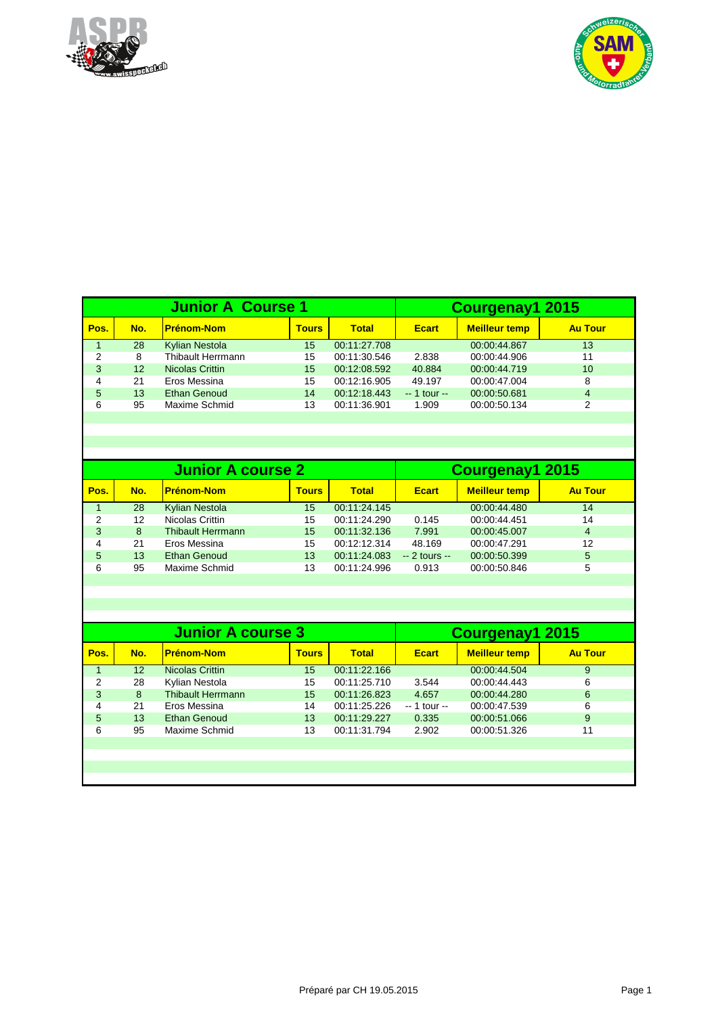



|      |                   | <b>Junior A Course 1</b> | <b>Courgenay1 2015</b> |              |               |                      |                |
|------|-------------------|--------------------------|------------------------|--------------|---------------|----------------------|----------------|
| Pos. | No.               | <b>Prénom-Nom</b>        | <b>Tours</b>           | <b>Total</b> | <b>Ecart</b>  | <b>Meilleur temp</b> | <b>Au Tour</b> |
|      | 28                | <b>Kylian Nestola</b>    | 15                     | 00:11:27.708 |               | 00:00:44.867         | 13             |
| 2    | 8                 | Thibault Herrmann        | 15                     | 00:11:30.546 | 2.838         | 00:00:44.906         | 11             |
| 3    | $12 \overline{ }$ | Nicolas Crittin          | 15                     | 00:12:08.592 | 40.884        | 00:00:44.719         | 10             |
| 4    | 21                | Eros Messina             | 15                     | 00:12:16.905 | 49.197        | 00:00:47.004         | 8              |
| 5    | 13                | <b>Ethan Genoud</b>      | 14                     | 00:12:18.443 | $-1$ tour $-$ | 00:00:50.681         | 4              |
| 6    | 95                | Maxime Schmid            | 13                     | 00:11:36.901 | 1.909         | 00:00:50.134         | 2              |
|      |                   |                          |                        |              |               |                      |                |

|      |     | <b>Junior A course 2</b> | Courgenay1 2015 |              |                |                      |                |
|------|-----|--------------------------|-----------------|--------------|----------------|----------------------|----------------|
| Pos. | No. | <u> Prénom-Nom</u>       | <b>Tours</b>    | Total        | <b>Ecart</b>   | <b>Meilleur temp</b> | <b>Au Tour</b> |
|      | 28  | <b>Kylian Nestola</b>    | 15              | 00:11:24.145 |                | 00:00:44.480         | 14             |
| 2    | 12  | Nicolas Crittin          | 15              | 00:11:24.290 | 0.145          | 00:00:44.451         | 14             |
| 3    | 8   | <b>Thibault Herrmann</b> | 15              | 00:11:32.136 | 7.991          | 00:00:45.007         | $\overline{4}$ |
| 4    | 21  | Eros Messina             | 15              | 00:12:12.314 | 48.169         | 00:00:47.291         | 12             |
| 5    | 13  | <b>Ethan Genoud</b>      | 13              | 00:11:24.083 | $-2$ tours $-$ | 00:00:50.399         | 5              |
| 6    | 95  | Maxime Schmid            | 13              | 00:11:24.996 | 0.913          | 00:00:50.846         | 5              |
|      |     |                          |                 |              |                |                      |                |

|      |                 | <b>Junior A course 3</b> | Courgenay1 2015 |              |               |                      |                |
|------|-----------------|--------------------------|-----------------|--------------|---------------|----------------------|----------------|
| Pos. | No.             | <b>Prénom-Nom</b>        | <b>Tours</b>    | <b>Total</b> | <b>Ecart</b>  | <b>Meilleur temp</b> | <b>Au Tour</b> |
|      | 12 <sup>2</sup> | <b>Nicolas Crittin</b>   | 15              | 00:11:22.166 |               | 00:00:44.504         | 9              |
| 2    | 28              | Kylian Nestola           | 15              | 00:11:25.710 | 3.544         | 00:00:44.443         | 6              |
| 3    | 8               | <b>Thibault Herrmann</b> | 15              | 00:11:26.823 | 4.657         | 00:00:44.280         | 6              |
| 4    | 21              | Eros Messina             | 14              | 00:11:25.226 | $-1$ tour $-$ | 00:00:47.539         | 6              |
| 5    | 13              | <b>Ethan Genoud</b>      | 13              | 00:11:29.227 | 0.335         | 00:00:51.066         | 9              |
| 6    | 95              | Maxime Schmid            | 13              | 00:11:31.794 | 2.902         | 00:00:51.326         | 11             |
|      |                 |                          |                 |              |               |                      |                |
|      |                 |                          |                 |              |               |                      |                |
|      |                 |                          |                 |              |               |                      |                |
|      |                 |                          |                 |              |               |                      |                |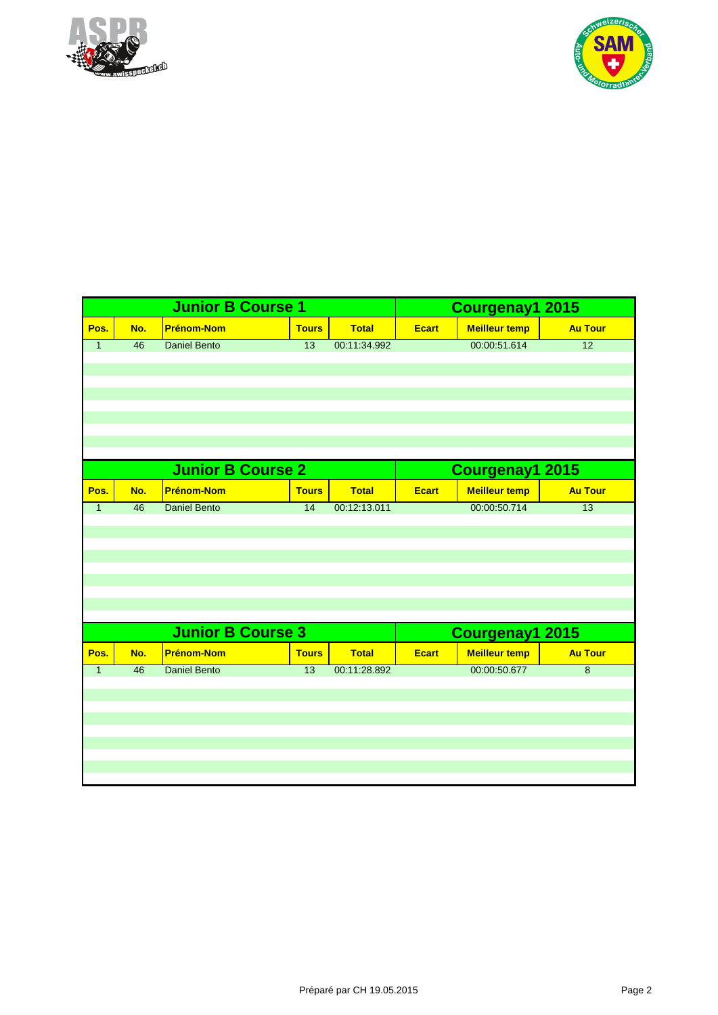



|                |                 | <b>Junior B Course 1</b> |                 |              | Courgenay1 2015 |                      |                 |  |
|----------------|-----------------|--------------------------|-----------------|--------------|-----------------|----------------------|-----------------|--|
| Pos.           | No.             | <b>Prénom-Nom</b>        | <b>Tours</b>    | <b>Total</b> | <b>Ecart</b>    | <b>Meilleur temp</b> | <b>Au Tour</b>  |  |
| $\mathbf{1}$   | $\overline{46}$ | <b>Daniel Bento</b>      | 13              | 00:11:34.992 |                 | 00:00:51.614         | $\overline{12}$ |  |
|                |                 |                          |                 |              |                 |                      |                 |  |
|                |                 |                          |                 |              |                 |                      |                 |  |
|                |                 |                          |                 |              |                 |                      |                 |  |
|                |                 |                          |                 |              |                 |                      |                 |  |
|                |                 |                          |                 |              |                 |                      |                 |  |
|                |                 |                          |                 |              |                 |                      |                 |  |
|                |                 | <b>Junior B Course 2</b> |                 |              |                 |                      |                 |  |
|                |                 |                          |                 |              |                 | Courgenay1 2015      |                 |  |
| Pos.           | No.             | <b>Prénom-Nom</b>        | <b>Tours</b>    | <b>Total</b> | <b>Ecart</b>    | <b>Meilleur temp</b> | <b>Au Tour</b>  |  |
| $\overline{1}$ | 46              | <b>Daniel Bento</b>      | $\overline{14}$ | 00:12:13.011 |                 | 00:00:50.714         | 13              |  |
|                |                 |                          |                 |              |                 |                      |                 |  |
|                |                 |                          |                 |              |                 |                      |                 |  |
|                |                 |                          |                 |              |                 |                      |                 |  |
|                |                 |                          |                 |              |                 |                      |                 |  |
|                |                 |                          |                 |              |                 |                      |                 |  |
|                |                 |                          |                 |              |                 |                      |                 |  |
|                |                 | <b>Junior B Course 3</b> |                 |              |                 | Courgenay1 2015      |                 |  |
| Pos.           | No.             | <b>Prénom-Nom</b>        | <b>Tours</b>    | <b>Total</b> | <b>Ecart</b>    | <b>Meilleur temp</b> | <b>Au Tour</b>  |  |
| $\mathbf{1}$   | 46              | <b>Daniel Bento</b>      | $\overline{13}$ | 00:11:28.892 |                 | 00:00:50.677         | $\overline{8}$  |  |
|                |                 |                          |                 |              |                 |                      |                 |  |
|                |                 |                          |                 |              |                 |                      |                 |  |
|                |                 |                          |                 |              |                 |                      |                 |  |
|                |                 |                          |                 |              |                 |                      |                 |  |
|                |                 |                          |                 |              |                 |                      |                 |  |
|                |                 |                          |                 |              |                 |                      |                 |  |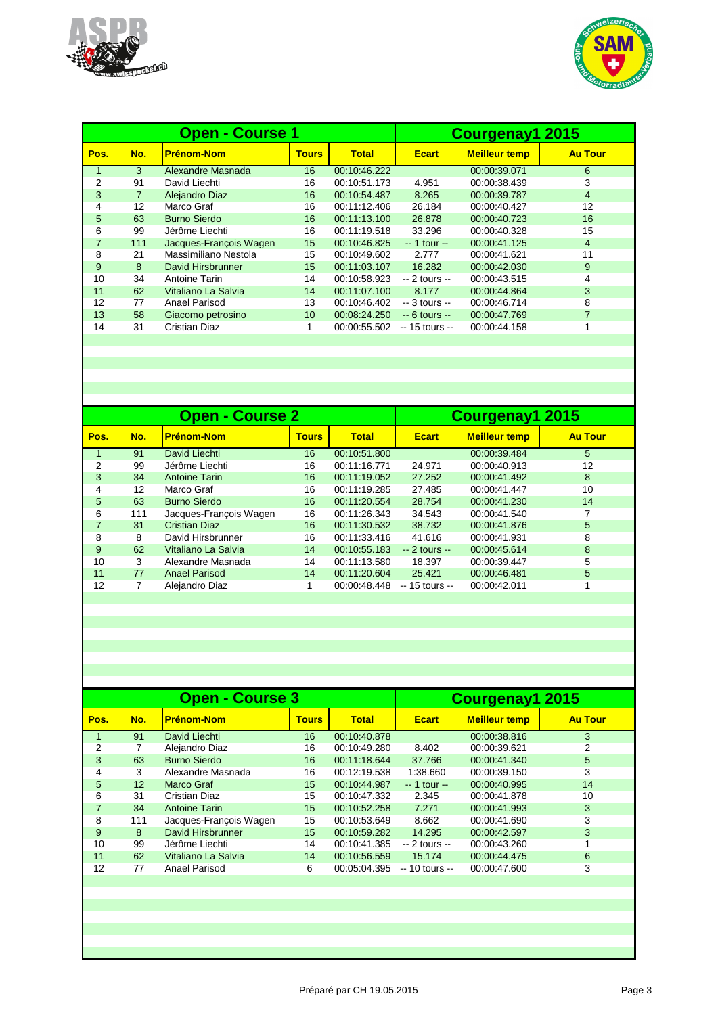



|      |                | <b>Open - Course 1</b> | Courgenay1 2015 |              |                |                      |                |
|------|----------------|------------------------|-----------------|--------------|----------------|----------------------|----------------|
| Pos. | No.            | <b>Prénom-Nom</b>      | <b>Tours</b>    | Total        | <b>Ecart</b>   | <b>Meilleur temp</b> | <b>Au Tour</b> |
|      | 3              | Alexandre Masnada      | 16              | 00:10:46.222 |                | 00:00:39.071         | 6              |
| 2    | 91             | David Liechti          | 16              | 00:10:51.173 | 4.951          | 00:00:38.439         | 3              |
| 3    | $\overline{7}$ | Alejandro Diaz         | 16              | 00:10:54.487 | 8.265          | 00:00:39.787         | 4              |
| 4    | 12             | Marco Graf             | 16              | 00:11:12.406 | 26.184         | 00:00:40.427         | 12             |
| 5    | 63             | <b>Burno Sierdo</b>    | 16              | 00:11:13.100 | 26.878         | 00:00:40.723         | 16             |
| 6    | 99             | Jérôme Liechti         | 16              | 00:11:19.518 | 33.296         | 00:00:40.328         | 15             |
| 7    | 111            | Jacques-François Wagen | 15              | 00:10:46.825 | $-1$ tour $-$  | 00:00:41.125         | 4              |
| 8    | 21             | Massimiliano Nestola   | 15              | 00:10:49.602 | 2.777          | 00:00:41.621         | 11             |
| 9    | 8              | David Hirsbrunner      | 15              | 00:11:03.107 | 16.282         | 00:00:42.030         | 9              |
| 10   | 34             | Antoine Tarin          | 14              | 00:10:58.923 | $-2$ tours $-$ | 00:00:43.515         | 4              |
| 11   | 62             | Vitaliano La Salvia    | 14              | 00:11:07.100 | 8.177          | 00:00:44.864         | 3              |
| 12   | 77             | Anael Parisod          | 13              | 00:10:46.402 | $-3$ tours $-$ | 00:00:46.714         | 8              |
| 13   | 58             | Giacomo petrosino      | 10              | 00:08:24.250 | $-6$ tours $-$ | 00:00:47.769         | 7              |
| 14   | 31             | Cristian Diaz          | 1               | 00:00:55.502 | -- 15 tours -- | 00:00:44.158         |                |
|      |                |                        |                 |              |                |                      |                |

|      |     | <b>Open - Course 2</b> | Courgenay1 2015 |              |                 |                      |                |
|------|-----|------------------------|-----------------|--------------|-----------------|----------------------|----------------|
| Pos. | No. | <b>Prénom-Nom</b>      | <b>Tours</b>    | <b>Total</b> | <b>Ecart</b>    | <b>Meilleur temp</b> | <b>Au Tour</b> |
|      | 91  | David Liechti          | 16              | 00:10:51.800 |                 | 00:00:39.484         | 5              |
| 2    | 99  | Jérôme Liechti         | 16              | 00:11:16.771 | 24.971          | 00:00:40.913         | 12             |
| 3    | 34  | <b>Antoine Tarin</b>   | 16              | 00:11:19.052 | 27.252          | 00:00:41.492         | 8              |
| 4    | 12  | Marco Graf             | 16              | 00:11:19.285 | 27.485          | 00:00:41.447         | 10             |
| 5    | 63  | <b>Burno Sierdo</b>    | 16              | 00:11:20.554 | 28.754          | 00:00:41.230         | 14             |
| 6    | 111 | Jacques-François Wagen | 16              | 00:11:26.343 | 34.543          | 00:00:41.540         |                |
|      | 31  | <b>Cristian Diaz</b>   | 16              | 00:11:30.532 | 38.732          | 00:00:41.876         | 5              |
| 8    | 8   | David Hirsbrunner      | 16              | 00:11:33.416 | 41.616          | 00:00:41.931         | 8              |
| 9    | 62  | Vitaliano La Salvia    | 14              | 00:10:55.183 | $-2$ tours $-$  | 00:00:45.614         | 8              |
| 10   | 3   | Alexandre Masnada      | 14              | 00:11:13.580 | 18.397          | 00:00:39.447         | 5              |
| 11   | 77  | <b>Anael Parisod</b>   | 14              | 00:11:20.604 | 25.421          | 00:00:46.481         | 5              |
| 12   | 7   | Alejandro Diaz         |                 | 00:00:48.448 | $-15$ tours $-$ | 00:00:42.011         |                |
|      |     |                        |                 |              |                 |                      |                |

|                 | <b>Open - Course 3</b> | Courgenay1 2015 |              |                |                      |                |
|-----------------|------------------------|-----------------|--------------|----------------|----------------------|----------------|
| No.             | <b>Prénom-Nom</b>      | <b>Tours</b>    | <b>Total</b> | <b>Ecart</b>   | <b>Meilleur temp</b> | <b>Au Tour</b> |
| 91              | David Liechti          | 16              | 00:10:40.878 |                | 00:00:38.816         | 3              |
| 7               | Alejandro Diaz         | 16              | 00:10:49.280 | 8.402          | 00:00:39.621         | 2              |
| 63              | <b>Burno Sierdo</b>    | 16              | 00:11:18.644 | 37.766         | 00:00:41.340         | 5              |
| 3               | Alexandre Masnada      | 16              | 00:12:19.538 | 1:38.660       | 00:00:39.150         | 3              |
| 12 <sup>2</sup> | Marco Graf             | 15              | 00:10:44.987 | $-1$ tour $-$  | 00:00:40.995         | 14             |
| 31              | <b>Cristian Diaz</b>   | 15              | 00:10:47.332 | 2.345          | 00:00:41.878         | 10             |
| 34              | <b>Antoine Tarin</b>   | 15              | 00:10:52.258 | 7.271          | 00:00:41.993         | 3              |
| 111             | Jacques-Francois Wagen | 15              | 00:10:53.649 | 8.662          | 00:00:41.690         | 3              |
| 8               | David Hirsbrunner      | 15              | 00:10:59.282 | 14.295         | 00:00:42.597         | 3              |
| 99              | Jérôme Liechti         | 14              | 00:10:41.385 | $-2$ tours $-$ | 00:00:43.260         | 1              |
| 62              | Vitaliano La Salvia    | 14              | 00:10:56.559 | 15.174         | 00:00:44.475         | 6              |
| 77              | Anael Parisod          | 6               | 00:05:04.395 | -- 10 tours -- | 00:00:47.600         | 3              |
|                 |                        |                 |              |                |                      |                |
|                 |                        |                 |              |                |                      |                |
|                 |                        |                 |              |                |                      |                |
|                 |                        |                 |              |                |                      |                |
|                 |                        |                 |              |                |                      |                |